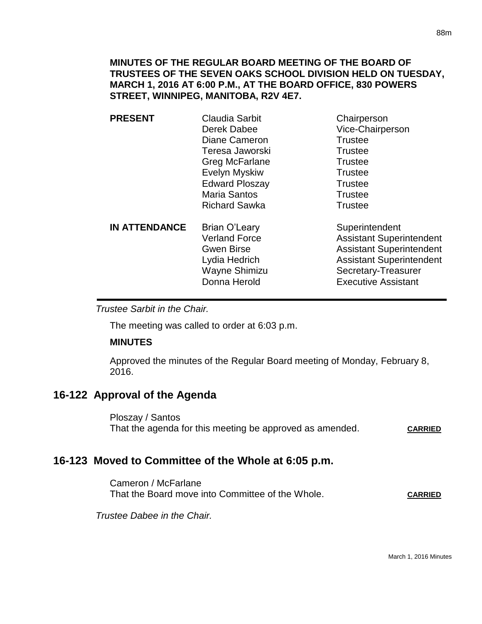## **MINUTES OF THE REGULAR BOARD MEETING OF THE BOARD OF TRUSTEES OF THE SEVEN OAKS SCHOOL DIVISION HELD ON TUESDAY, MARCH 1, 2016 AT 6:00 P.M., AT THE BOARD OFFICE, 830 POWERS STREET, WINNIPEG, MANITOBA, R2V 4E7.**

| <b>PRESENT</b>       | <b>Claudia Sarbit</b><br>Derek Dabee<br>Diane Cameron<br>Teresa Jaworski<br>Greg McFarlane<br>Evelyn Myskiw<br><b>Edward Ploszay</b><br><b>Maria Santos</b><br><b>Richard Sawka</b> | Chairperson<br>Vice-Chairperson<br><b>Trustee</b><br><b>Trustee</b><br><b>Trustee</b><br><b>Trustee</b><br><b>Trustee</b><br><b>Trustee</b><br><b>Trustee</b>                |
|----------------------|-------------------------------------------------------------------------------------------------------------------------------------------------------------------------------------|------------------------------------------------------------------------------------------------------------------------------------------------------------------------------|
| <b>IN ATTENDANCE</b> | Brian O'Leary<br><b>Verland Force</b><br><b>Gwen Birse</b><br>Lydia Hedrich<br>Wayne Shimizu<br>Donna Herold                                                                        | Superintendent<br><b>Assistant Superintendent</b><br><b>Assistant Superintendent</b><br><b>Assistant Superintendent</b><br>Secretary-Treasurer<br><b>Executive Assistant</b> |

*Trustee Sarbit in the Chair.* 

The meeting was called to order at 6:03 p.m.

#### **MINUTES**

Approved the minutes of the Regular Board meeting of Monday, February 8, 2016.

# **16-122 Approval of the Agenda**

Ploszay / Santos That the agenda for this meeting be approved as amended. **CARRIED**

# **16-123 Moved to Committee of the Whole at 6:05 p.m.**

Cameron / McFarlane That the Board move into Committee of the Whole. **CARRIED**

*Trustee Dabee in the Chair.*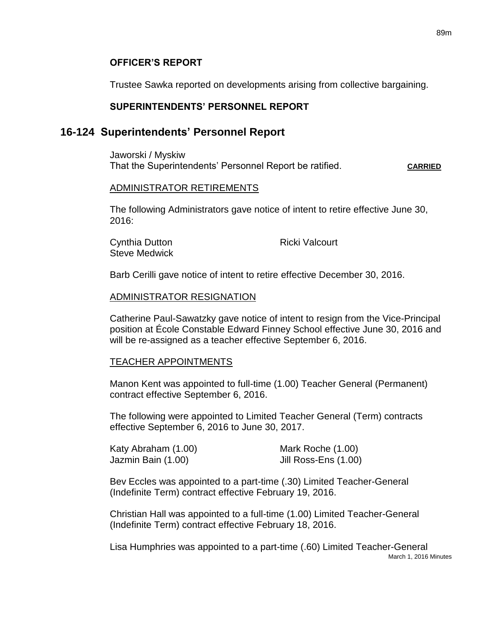### **OFFICER'S REPORT**

Trustee Sawka reported on developments arising from collective bargaining.

### **SUPERINTENDENTS' PERSONNEL REPORT**

## **16-124 Superintendents' Personnel Report**

Jaworski / Myskiw That the Superintendents' Personnel Report be ratified. **CARRIED**

#### ADMINISTRATOR RETIREMENTS

The following Administrators gave notice of intent to retire effective June 30, 2016:

Cynthia Dutton **Ricki** Valcourt Steve Medwick

Barb Cerilli gave notice of intent to retire effective December 30, 2016.

#### ADMINISTRATOR RESIGNATION

Catherine Paul-Sawatzky gave notice of intent to resign from the Vice-Principal position at École Constable Edward Finney School effective June 30, 2016 and will be re-assigned as a teacher effective September 6, 2016.

#### TEACHER APPOINTMENTS

Manon Kent was appointed to full-time (1.00) Teacher General (Permanent) contract effective September 6, 2016.

The following were appointed to Limited Teacher General (Term) contracts effective September 6, 2016 to June 30, 2017.

| Katy Abraham (1.00) | Mark Roche (1.00)    |
|---------------------|----------------------|
| Jazmin Bain (1.00)  | Jill Ross-Ens (1.00) |

Bev Eccles was appointed to a part-time (.30) Limited Teacher-General (Indefinite Term) contract effective February 19, 2016.

Christian Hall was appointed to a full-time (1.00) Limited Teacher-General (Indefinite Term) contract effective February 18, 2016.

March 1, 2016 Minutes Lisa Humphries was appointed to a part-time (.60) Limited Teacher-General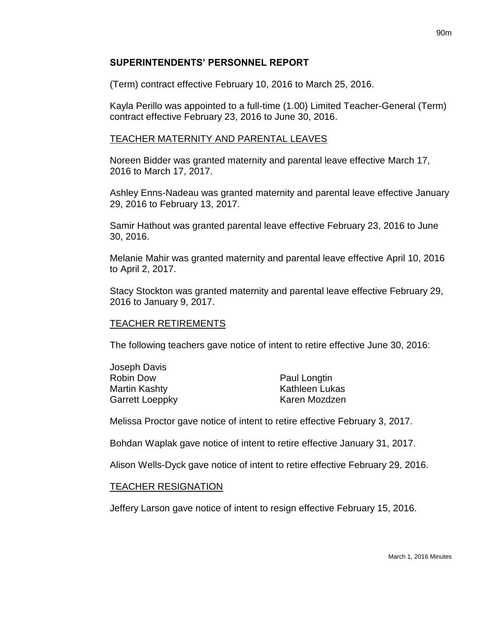## **SUPERINTENDENTS' PERSONNEL REPORT**

(Term) contract effective February 10, 2016 to March 25, 2016.

Kayla Perillo was appointed to a full-time (1.00) Limited Teacher-General (Term) contract effective February 23, 2016 to June 30, 2016.

# TEACHER MATERNITY AND PARENTAL LEAVES

Noreen Bidder was granted maternity and parental leave effective March 17, 2016 to March 17, 2017.

Ashley Enns-Nadeau was granted maternity and parental leave effective January 29, 2016 to February 13, 2017.

Samir Hathout was granted parental leave effective February 23, 2016 to June 30, 2016.

Melanie Mahir was granted maternity and parental leave effective April 10, 2016 to April 2, 2017.

Stacy Stockton was granted maternity and parental leave effective February 29, 2016 to January 9, 2017.

## TEACHER RETIREMENTS

The following teachers gave notice of intent to retire effective June 30, 2016:

| Joseph Davis    |                       |
|-----------------|-----------------------|
| Robin Dow       | Paul Longtin          |
| Martin Kashty   | <b>Kathleen Lukas</b> |
| Garrett Loeppky | Karen Mozdzen         |
|                 |                       |

Melissa Proctor gave notice of intent to retire effective February 3, 2017.

Bohdan Waplak gave notice of intent to retire effective January 31, 2017.

Alison Wells-Dyck gave notice of intent to retire effective February 29, 2016.

## TEACHER RESIGNATION

Jeffery Larson gave notice of intent to resign effective February 15, 2016.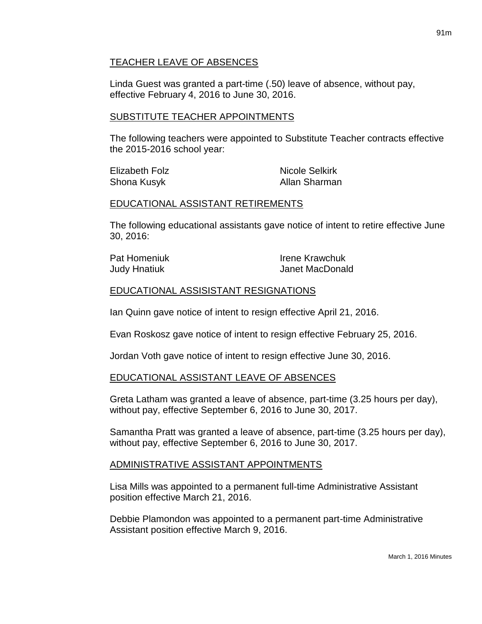## TEACHER LEAVE OF ABSENCES

Linda Guest was granted a part-time (.50) leave of absence, without pay, effective February 4, 2016 to June 30, 2016.

## SUBSTITUTE TEACHER APPOINTMENTS

The following teachers were appointed to Substitute Teacher contracts effective the 2015-2016 school year:

| Elizabeth Folz | <b>Nicole Selkirk</b> |
|----------------|-----------------------|
| Shona Kusyk    | Allan Sharman         |

### EDUCATIONAL ASSISTANT RETIREMENTS

The following educational assistants gave notice of intent to retire effective June 30, 2016:

| Pat Homeniuk | <b>Irene Krawchuk</b> |
|--------------|-----------------------|
| Judy Hnatiuk | Janet MacDonald       |

## EDUCATIONAL ASSISISTANT RESIGNATIONS

Ian Quinn gave notice of intent to resign effective April 21, 2016.

Evan Roskosz gave notice of intent to resign effective February 25, 2016.

Jordan Voth gave notice of intent to resign effective June 30, 2016.

## EDUCATIONAL ASSISTANT LEAVE OF ABSENCES

Greta Latham was granted a leave of absence, part-time (3.25 hours per day), without pay, effective September 6, 2016 to June 30, 2017.

Samantha Pratt was granted a leave of absence, part-time (3.25 hours per day), without pay, effective September 6, 2016 to June 30, 2017.

## ADMINISTRATIVE ASSISTANT APPOINTMENTS

Lisa Mills was appointed to a permanent full-time Administrative Assistant position effective March 21, 2016.

Debbie Plamondon was appointed to a permanent part-time Administrative Assistant position effective March 9, 2016.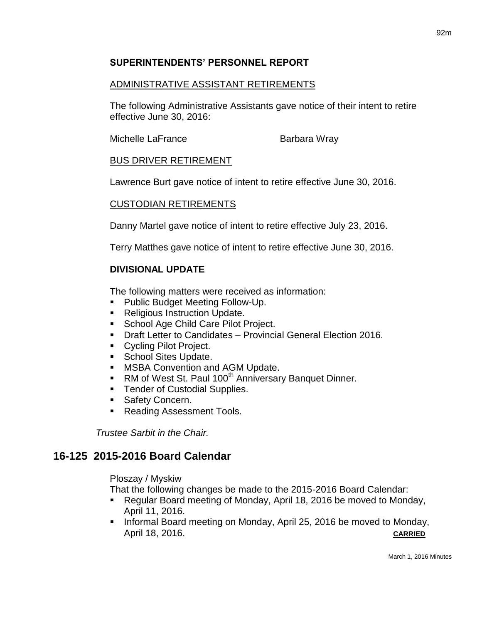# **SUPERINTENDENTS' PERSONNEL REPORT**

# ADMINISTRATIVE ASSISTANT RETIREMENTS

The following Administrative Assistants gave notice of their intent to retire effective June 30, 2016:

Michelle LaFrance Barbara Wray

# BUS DRIVER RETIREMENT

Lawrence Burt gave notice of intent to retire effective June 30, 2016.

## CUSTODIAN RETIREMENTS

Danny Martel gave notice of intent to retire effective July 23, 2016.

Terry Matthes gave notice of intent to retire effective June 30, 2016.

# **DIVISIONAL UPDATE**

The following matters were received as information:

- **Public Budget Meeting Follow-Up.**
- Religious Instruction Update.
- **School Age Child Care Pilot Project.**
- **Draft Letter to Candidates Provincial General Election 2016.**
- Cycling Pilot Project.
- **School Sites Update.**
- **MSBA Convention and AGM Update.**
- RM of West St. Paul 100<sup>th</sup> Anniversary Banquet Dinner.
- Tender of Custodial Supplies.
- **Safety Concern.**
- Reading Assessment Tools.

*Trustee Sarbit in the Chair.*

# **16-125 2015-2016 Board Calendar**

Ploszay / Myskiw

That the following changes be made to the 2015-2016 Board Calendar:

- Regular Board meeting of Monday, April 18, 2016 be moved to Monday, April 11, 2016.
- Informal Board meeting on Monday, April 25, 2016 be moved to Monday, April 18, 2016. **CARRIED**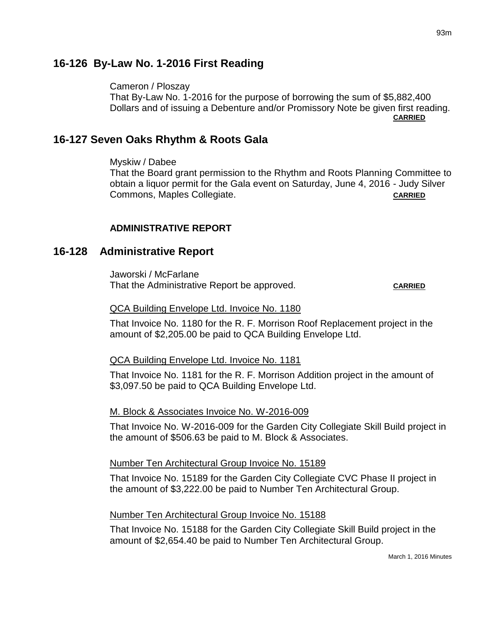# **16-126 By-Law No. 1-2016 First Reading**

Cameron / Ploszay

That By-Law No. 1-2016 for the purpose of borrowing the sum of \$5,882,400 Dollars and of issuing a Debenture and/or Promissory Note be given first reading. **CARRIED**

# **16-127 Seven Oaks Rhythm & Roots Gala**

Myskiw / Dabee

That the Board grant permission to the Rhythm and Roots Planning Committee to obtain a liquor permit for the Gala event on Saturday, June 4, 2016 - Judy Silver Commons, Maples Collegiate. **CARRIED CARRIED** 

## **ADMINISTRATIVE REPORT**

## **16-128 Administrative Report**

Jaworski / McFarlane That the Administrative Report be approved. CARRIED

#### QCA Building Envelope Ltd. Invoice No. 1180

That Invoice No. 1180 for the R. F. Morrison Roof Replacement project in the amount of \$2,205.00 be paid to QCA Building Envelope Ltd.

#### QCA Building Envelope Ltd. Invoice No. 1181

That Invoice No. 1181 for the R. F. Morrison Addition project in the amount of \$3,097.50 be paid to QCA Building Envelope Ltd.

#### M. Block & Associates Invoice No. W-2016-009

That Invoice No. W-2016-009 for the Garden City Collegiate Skill Build project in the amount of \$506.63 be paid to M. Block & Associates.

#### Number Ten Architectural Group Invoice No. 15189

That Invoice No. 15189 for the Garden City Collegiate CVC Phase II project in the amount of \$3,222.00 be paid to Number Ten Architectural Group.

#### Number Ten Architectural Group Invoice No. 15188

That Invoice No. 15188 for the Garden City Collegiate Skill Build project in the amount of \$2,654.40 be paid to Number Ten Architectural Group.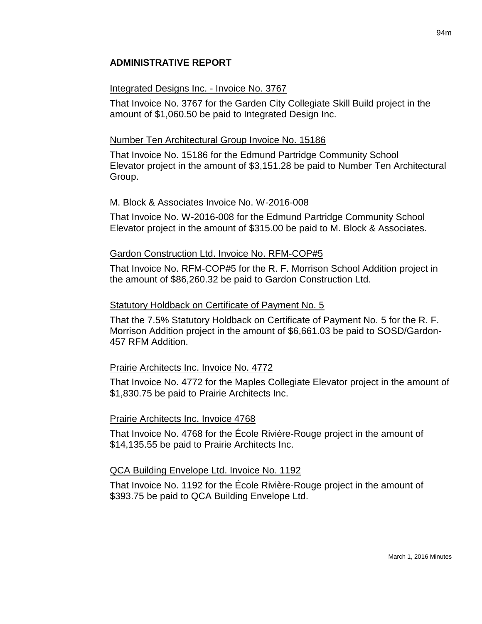# **ADMINISTRATIVE REPORT**

### Integrated Designs Inc. - Invoice No. 3767

That Invoice No. 3767 for the Garden City Collegiate Skill Build project in the amount of \$1,060.50 be paid to Integrated Design Inc.

### Number Ten Architectural Group Invoice No. 15186

That Invoice No. 15186 for the Edmund Partridge Community School Elevator project in the amount of \$3,151.28 be paid to Number Ten Architectural Group.

#### M. Block & Associates Invoice No. W-2016-008

That Invoice No. W-2016-008 for the Edmund Partridge Community School Elevator project in the amount of \$315.00 be paid to M. Block & Associates.

#### Gardon Construction Ltd. Invoice No. RFM-COP#5

That Invoice No. RFM-COP#5 for the R. F. Morrison School Addition project in the amount of \$86,260.32 be paid to Gardon Construction Ltd.

#### Statutory Holdback on Certificate of Payment No. 5

That the 7.5% Statutory Holdback on Certificate of Payment No. 5 for the R. F. Morrison Addition project in the amount of \$6,661.03 be paid to SOSD/Gardon-457 RFM Addition.

## Prairie Architects Inc. Invoice No. 4772

That Invoice No. 4772 for the Maples Collegiate Elevator project in the amount of \$1,830.75 be paid to Prairie Architects Inc.

#### Prairie Architects Inc. Invoice 4768

That Invoice No. 4768 for the École Rivière-Rouge project in the amount of \$14,135.55 be paid to Prairie Architects Inc.

#### QCA Building Envelope Ltd. Invoice No. 1192

That Invoice No. 1192 for the École Rivière-Rouge project in the amount of \$393.75 be paid to QCA Building Envelope Ltd.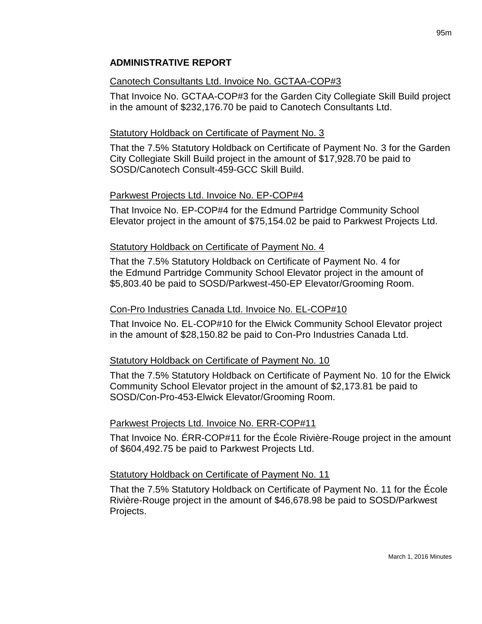# **ADMINISTRATIVE REPORT**

## Canotech Consultants Ltd. Invoice No. GCTAA-COP#3

That Invoice No. GCTAA-COP#3 for the Garden City Collegiate Skill Build project in the amount of \$232,176.70 be paid to Canotech Consultants Ltd.

## Statutory Holdback on Certificate of Payment No. 3

That the 7.5% Statutory Holdback on Certificate of Payment No. 3 for the Garden City Collegiate Skill Build project in the amount of \$17,928.70 be paid to SOSD/Canotech Consult-459-GCC Skill Build.

## Parkwest Projects Ltd. Invoice No. EP-COP#4

That Invoice No. EP-COP#4 for the Edmund Partridge Community School Elevator project in the amount of \$75,154.02 be paid to Parkwest Projects Ltd.

## Statutory Holdback on Certificate of Payment No. 4

That the 7.5% Statutory Holdback on Certificate of Payment No. 4 for the Edmund Partridge Community School Elevator project in the amount of \$5,803.40 be paid to SOSD/Parkwest-450-EP Elevator/Grooming Room.

## Con-Pro Industries Canada Ltd. Invoice No. EL-COP#10

That Invoice No. EL-COP#10 for the Elwick Community School Elevator project in the amount of \$28,150.82 be paid to Con-Pro Industries Canada Ltd.

## Statutory Holdback on Certificate of Payment No. 10

That the 7.5% Statutory Holdback on Certificate of Payment No. 10 for the Elwick Community School Elevator project in the amount of \$2,173.81 be paid to SOSD/Con-Pro-453-Elwick Elevator/Grooming Room.

## Parkwest Projects Ltd. Invoice No. ERR-COP#11

That Invoice No. ÉRR-COP#11 for the École Rivière-Rouge project in the amount of \$604,492.75 be paid to Parkwest Projects Ltd.

## Statutory Holdback on Certificate of Payment No. 11

That the 7.5% Statutory Holdback on Certificate of Payment No. 11 for the École Rivière-Rouge project in the amount of \$46,678.98 be paid to SOSD/Parkwest Projects.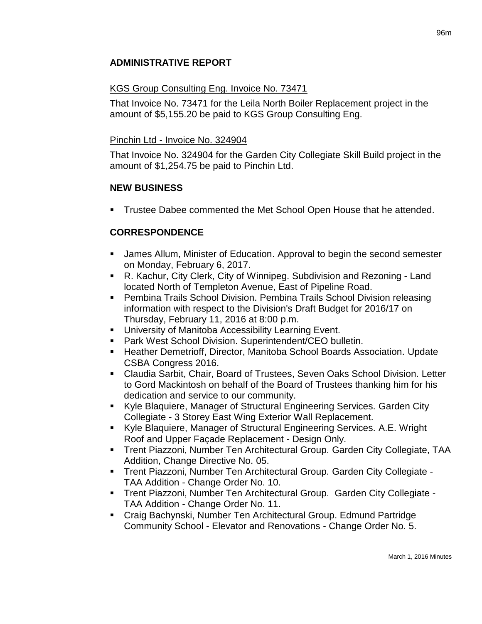# **ADMINISTRATIVE REPORT**

## KGS Group Consulting Eng. Invoice No. 73471

That Invoice No. 73471 for the Leila North Boiler Replacement project in the amount of \$5,155.20 be paid to KGS Group Consulting Eng.

## Pinchin Ltd - Invoice No. 324904

That Invoice No. 324904 for the Garden City Collegiate Skill Build project in the amount of \$1,254.75 be paid to Pinchin Ltd.

## **NEW BUSINESS**

**Trustee Dabee commented the Met School Open House that he attended.** 

# **CORRESPONDENCE**

- James Allum, Minister of Education. Approval to begin the second semester on Monday, February 6, 2017.
- R. Kachur, City Clerk, City of Winnipeg. Subdivision and Rezoning Land located North of Templeton Avenue, East of Pipeline Road.
- Pembina Trails School Division. Pembina Trails School Division releasing information with respect to the Division's Draft Budget for 2016/17 on Thursday, February 11, 2016 at 8:00 p.m.
- **University of Manitoba Accessibility Learning Event.**
- **Park West School Division. Superintendent/CEO bulletin.**
- Heather Demetrioff, Director, Manitoba School Boards Association. Update CSBA Congress 2016.
- Claudia Sarbit, Chair, Board of Trustees, Seven Oaks School Division. Letter to Gord Mackintosh on behalf of the Board of Trustees thanking him for his dedication and service to our community.
- Kyle Blaquiere, Manager of Structural Engineering Services. Garden City Collegiate - 3 Storey East Wing Exterior Wall Replacement.
- Kyle Blaquiere, Manager of Structural Engineering Services. A.E. Wright Roof and Upper Façade Replacement - Design Only.
- Trent Piazzoni, Number Ten Architectural Group. Garden City Collegiate, TAA Addition, Change Directive No. 05.
- Trent Piazzoni, Number Ten Architectural Group. Garden City Collegiate TAA Addition - Change Order No. 10.
- Trent Piazzoni, Number Ten Architectural Group. Garden City Collegiate TAA Addition - Change Order No. 11.
- Craig Bachynski, Number Ten Architectural Group. Edmund Partridge Community School - Elevator and Renovations - Change Order No. 5.